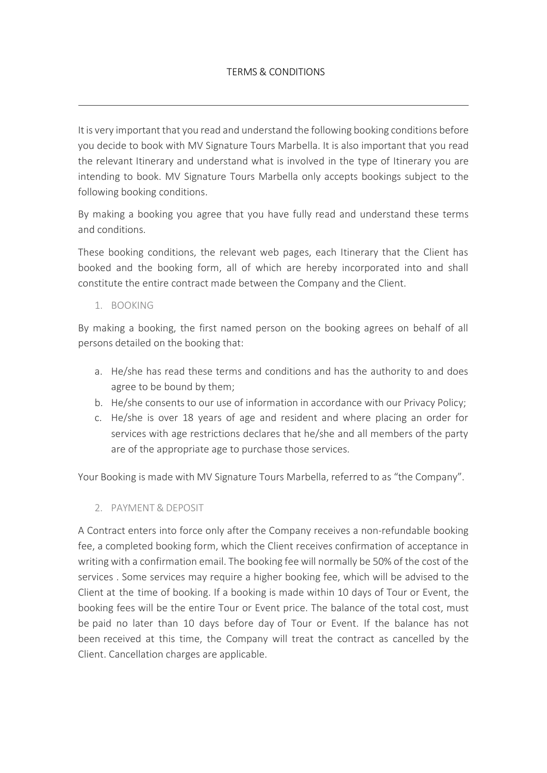# TERMS & CONDITIONS

It is very important that you read and understand the following booking conditions before you decide to book with MV Signature Tours Marbella. It is also important that you read the relevant Itinerary and understand what is involved in the type of Itinerary you are intending to book. MV Signature Tours Marbella only accepts bookings subject to the following booking conditions.

By making a booking you agree that you have fully read and understand these terms and conditions.

These booking conditions, the relevant web pages, each Itinerary that the Client has booked and the booking form, all of which are hereby incorporated into and shall constitute the entire contract made between the Company and the Client.

1. BOOKING

By making a booking, the first named person on the booking agrees on behalf of all persons detailed on the booking that:

- a. He/she has read these terms and conditions and has the authority to and does agree to be bound by them;
- b. He/she consents to our use of information in accordance with our Privacy Policy;
- c. He/she is over 18 years of age and resident and where placing an order for services with age restrictions declares that he/she and all members of the party are of the appropriate age to purchase those services.

Your Booking is made with MV Signature Tours Marbella, referred to as "the Company".

2. PAYMENT & DEPOSIT

A Contract enters into force only after the Company receives a non‐refundable booking fee, a completed booking form, which the Client receives confirmation of acceptance in writing with a confirmation email. The booking fee will normally be 50% of the cost of the services . Some services may require a higher booking fee, which will be advised to the Client at the time of booking. If a booking is made within 10 days of Tour or Event, the booking fees will be the entire Tour or Event price. The balance of the total cost, must be paid no later than 10 days before day of Tour or Event. If the balance has not been received at this time, the Company will treat the contract as cancelled by the Client. Cancellation charges are applicable.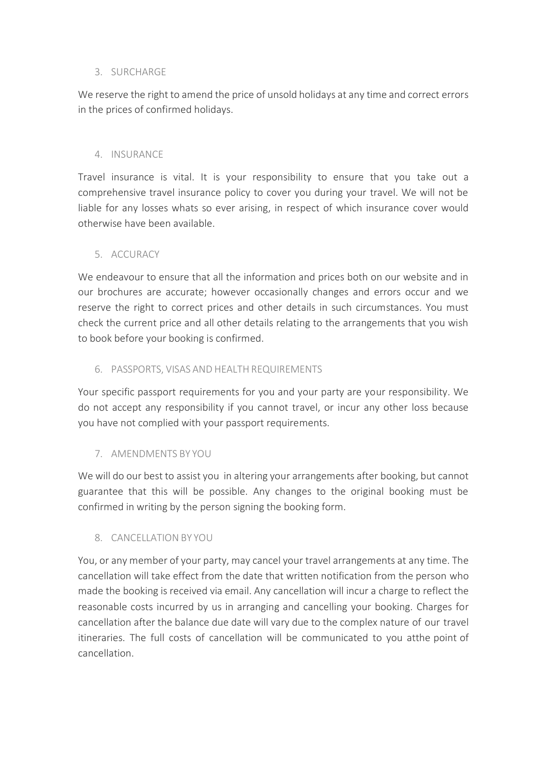# 3. SURCHARGE

We reserve the right to amend the price of unsold holidays at any time and correct errors in the prices of confirmed holidays.

#### 4. INSURANCE

Travel insurance is vital. It is your responsibility to ensure that you take out a comprehensive travel insurance policy to cover you during your travel. We will not be liable for any losses whats so ever arising, in respect of which insurance cover would otherwise have been available.

# 5. ACCURACY

We endeavour to ensure that all the information and prices both on our website and in our brochures are accurate; however occasionally changes and errors occur and we reserve the right to correct prices and other details in such circumstances. You must check the current price and all other details relating to the arrangements that you wish to book before your booking is confirmed.

# 6. PASSPORTS, VISAS AND HEALTH REQUIREMENTS

Your specific passport requirements for you and your party are your responsibility. We do not accept any responsibility if you cannot travel, or incur any other loss because you have not complied with your passport requirements.

# 7. AMENDMENTS BY YOU

We will do our best to assist you in altering your arrangements after booking, but cannot guarantee that this will be possible. Any changes to the original booking must be confirmed in writing by the person signing the booking form.

# 8. CANCELLATION BY YOU

You, or any member of your party, may cancel your travel arrangements at any time. The cancellation will take effect from the date that written notification from the person who made the booking is received via email. Any cancellation will incur a charge to reflect the reasonable costs incurred by us in arranging and cancelling your booking. Charges for cancellation after the balance due date will vary due to the complex nature of our travel itineraries. The full costs of cancellation will be communicated to you atthe point of cancellation.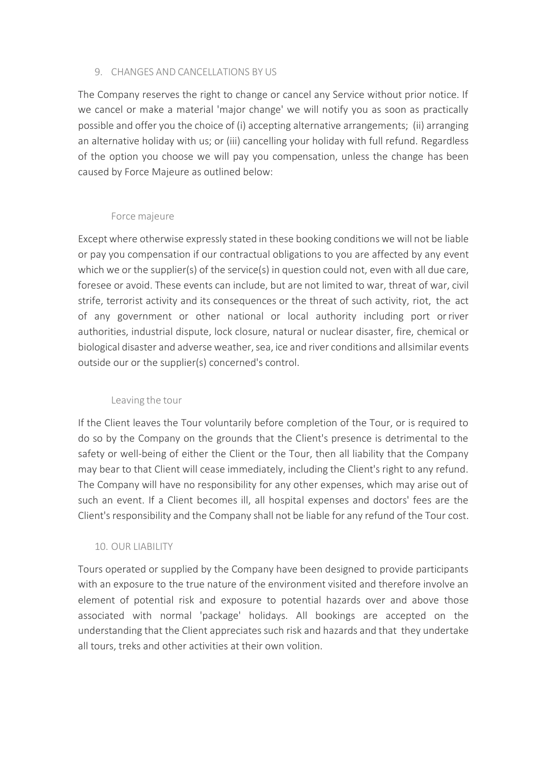#### 9. CHANGES AND CANCELLATIONS BY US

The Company reserves the right to change or cancel any Service without prior notice. If we cancel or make a material 'major change' we will notify you as soon as practically possible and offer you the choice of (i) accepting alternative arrangements; (ii) arranging an alternative holiday with us; or (iii) cancelling your holiday with full refund. Regardless of the option you choose we will pay you compensation, unless the change has been caused by Force Majeure as outlined below:

#### Force majeure

Except where otherwise expressly stated in these booking conditions we will not be liable or pay you compensation if our contractual obligations to you are affected by any event which we or the supplier(s) of the service(s) in question could not, even with all due care, foresee or avoid. These events can include, but are not limited to war, threat of war, civil strife, terrorist activity and its consequences or the threat of such activity, riot, the act of any government or other national or local authority including port orriver authorities, industrial dispute, lock closure, natural or nuclear disaster, fire, chemical or biological disaster and adverse weather, sea, ice and river conditions and allsimilar events outside our or the supplier(s) concerned's control.

# Leaving the tour

If the Client leaves the Tour voluntarily before completion of the Tour, or is required to do so by the Company on the grounds that the Client's presence is detrimental to the safety or well-being of either the Client or the Tour, then all liability that the Company may bear to that Client will cease immediately, including the Client's right to any refund. The Company will have no responsibility for any other expenses, which may arise out of such an event. If a Client becomes ill, all hospital expenses and doctors' fees are the Client's responsibility and the Company shall not be liable for any refund of the Tour cost.

# 10. OUR LIABILITY

Tours operated or supplied by the Company have been designed to provide participants with an exposure to the true nature of the environment visited and therefore involve an element of potential risk and exposure to potential hazards over and above those associated with normal 'package' holidays. All bookings are accepted on the understanding that the Client appreciates such risk and hazards and that they undertake all tours, treks and other activities at their own volition.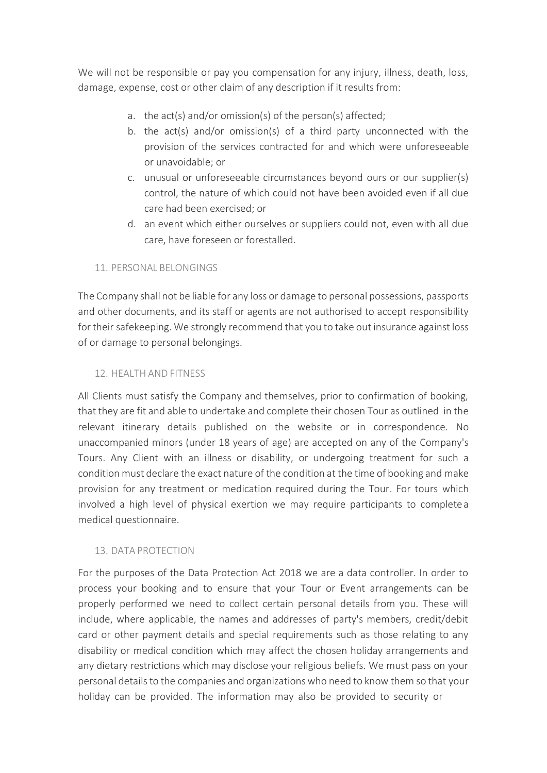We will not be responsible or pay you compensation for any injury, illness, death, loss, damage, expense, cost or other claim of any description if it results from:

- a. the act(s) and/or omission(s) of the person(s) affected;
- b. the act(s) and/or omission(s) of a third party unconnected with the provision of the services contracted for and which were unforeseeable or unavoidable; or
- c. unusual or unforeseeable circumstances beyond ours or our supplier(s) control, the nature of which could not have been avoided even if all due care had been exercised; or
- d. an event which either ourselves or suppliers could not, even with all due care, have foreseen or forestalled.

# 11. PERSONAL BELONGINGS

The Company shall not be liable for any loss or damage to personal possessions, passports and other documents, and its staff or agents are not authorised to accept responsibility for their safekeeping. We strongly recommend that you to take out insurance against loss of or damage to personal belongings.

#### 12. HEALTH AND FITNESS

All Clients must satisfy the Company and themselves, prior to confirmation of booking, that they are fit and able to undertake and complete their chosen Tour as outlined in the relevant itinerary details published on the website or in correspondence. No unaccompanied minors (under 18 years of age) are accepted on any of the Company's Tours. Any Client with an illness or disability, or undergoing treatment for such a condition must declare the exact nature of the condition at the time of booking and make provision for any treatment or medication required during the Tour. For tours which involved a high level of physical exertion we may require participants to completea medical questionnaire.

# 13. DATA PROTECTION

For the purposes of the Data Protection Act 2018 we are a data controller. In order to process your booking and to ensure that your Tour or Event arrangements can be properly performed we need to collect certain personal details from you. These will include, where applicable, the names and addresses of party's members, credit/debit card or other payment details and special requirements such as those relating to any disability or medical condition which may affect the chosen holiday arrangements and any dietary restrictions which may disclose your religious beliefs. We must pass on your personal details to the companies and organizations who need to know them so that your holiday can be provided. The information may also be provided to security or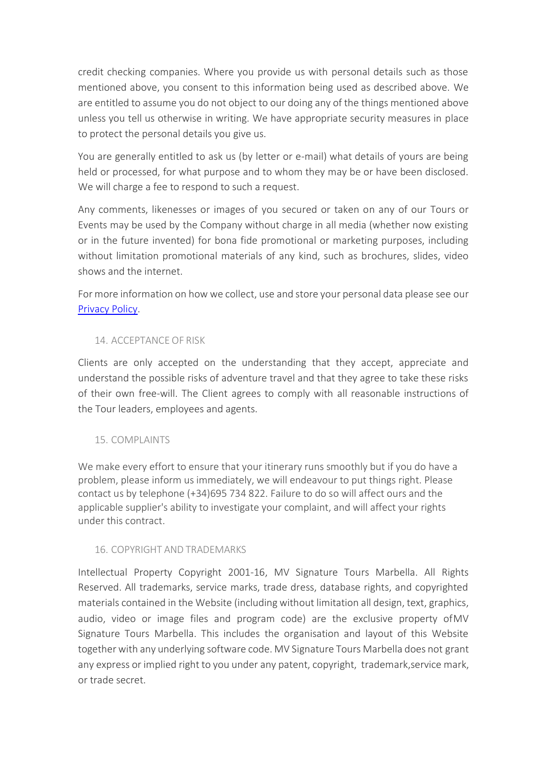credit checking companies. Where you provide us with personal details such as those mentioned above, you consent to this information being used as described above. We are entitled to assume you do not object to our doing any of the things mentioned above unless you tell us otherwise in writing. We have appropriate security measures in place to protect the personal details you give us.

You are generally entitled to ask us (by letter or e‐mail) what details of yours are being held or processed, for what purpose and to whom they may be or have been disclosed. We will charge a fee to respond to such a request.

Any comments, likenesses or images of you secured or taken on any of our Tours or Events may be used by the Company without charge in all media (whether now existing or in the future invented) for bona fide promotional or marketing purposes, including without limitation promotional materials of any kind, such as brochures, slides, video shows and the internet.

For more information on how we collect, use and store your personal data please see our [Privacy Policy.](https://signaturetoursmarbella.com/stm/wp-content/uploads/2019/04/privacy-policy.pdf)

# 14. ACCEPTANCE OF RISK

Clients are only accepted on the understanding that they accept, appreciate and understand the possible risks of adventure travel and that they agree to take these risks of their own free‐will. The Client agrees to comply with all reasonable instructions of the Tour leaders, employees and agents.

# 15. COMPLAINTS

We make every effort to ensure that your itinerary runs smoothly but if you do have a problem, please inform us immediately, we will endeavour to put things right. Please contact us by telephone (+34)695 734 822. Failure to do so will affect ours and the applicable supplier's ability to investigate your complaint, and will affect your rights under this contract.

# 16. COPYRIGHT AND TRADEMARKS

Intellectual Property Copyright 2001‐16, MV Signature Tours Marbella. All Rights Reserved. All trademarks, service marks, trade dress, database rights, and copyrighted materials contained in the Website (including without limitation all design, text, graphics, audio, video or image files and program code) are the exclusive property ofMV Signature Tours Marbella. This includes the organisation and layout of this Website together with any underlying software code. MV Signature Tours Marbella does not grant any express or implied right to you under any patent, copyright, trademark,service mark, or trade secret.